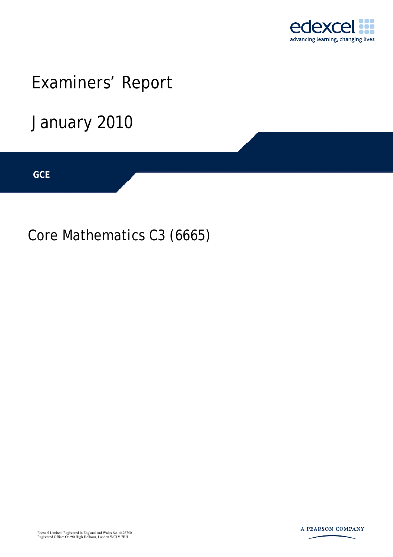

# Examiners' Report

# January 2010

**IGCSE GCE** 

Core Mathematics C3 (6665)



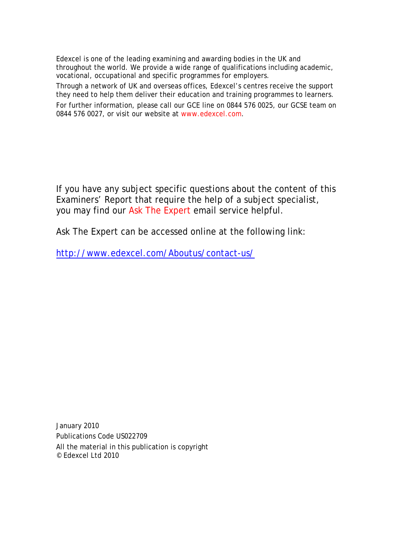Edexcel is one of the leading examining and awarding bodies in the UK and throughout the world. We provide a wide range of qualifications including academic, vocational, occupational and specific programmes for employers.

Through a network of UK and overseas offices, Edexcel's centres receive the support they need to help them deliver their education and training programmes to learners.

For further information, please call our GCE line on 0844 576 0025, our GCSE team on 0844 576 0027, or visit our website at www.edexcel.com.

If you have any subject specific questions about the content of this Examiners' Report that require the help of a subject specialist, you may find our Ask The Expert email service helpful.

Ask The Expert can be accessed online at the following link:

http://www.edexcel.com/Aboutus/contact-us/

January 2010 Publications Code US022709 All the material in this publication is copyright © Edexcel Ltd 2010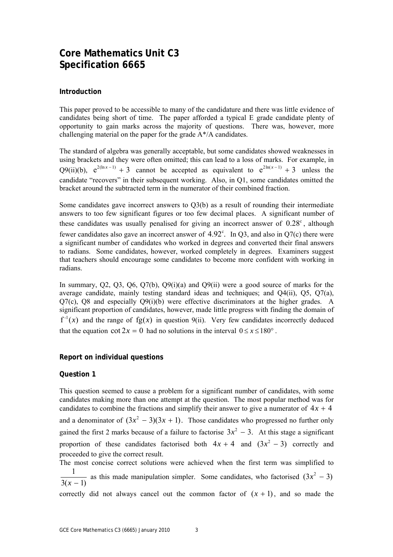# **Core Mathematics Unit C3 Specification 6665**

# **Introduction**

This paper proved to be accessible to many of the candidature and there was little evidence of candidates being short of time. The paper afforded a typical E grade candidate plenty of opportunity to gain marks across the majority of questions. There was, however, more challenging material on the paper for the grade A\*/A candidates.

The standard of algebra was generally acceptable, but some candidates showed weaknesses in using brackets and they were often omitted; this can lead to a loss of marks. For example, in Q9(ii)(b),  $e^{2(ln x - 1)} + 3$  cannot be accepted as equivalent to  $e^{2 ln(x-1)} + 3$  unless the candidate "recovers" in their subsequent working. Also, in Q1, some candidates omitted the bracket around the subtracted term in the numerator of their combined fraction.

Some candidates gave incorrect answers to Q3(b) as a result of rounding their intermediate answers to too few significant figures or too few decimal places. A significant number of these candidates was usually penalised for giving an incorrect answer of  $0.28^{\circ}$ , although fewer candidates also gave an incorrect answer of  $4.92^{\circ}$ . In Q3, and also in Q7(c) there were a significant number of candidates who worked in degrees and converted their final answers to radians. Some candidates, however, worked completely in degrees. Examiners suggest that teachers should encourage some candidates to become more confident with working in radians.

In summary, Q2, Q3, Q6, Q7(b), Q9(i)(a) and Q9(ii) were a good source of marks for the average candidate, mainly testing standard ideas and techniques; and Q4(ii), Q5, Q7(a), Q7(c), Q8 and especially Q9(i)(b) were effective discriminators at the higher grades. A significant proportion of candidates, however, made little progress with finding the domain of  $f^{-1}(x)$  and the range of  $fg(x)$  in question 9(ii). Very few candidates incorrectly deduced that the equation cot  $2x = 0$  had no solutions in the interval  $0 \le x \le 180^\circ$ .

# **Report on individual questions**

# **Question 1**

This question seemed to cause a problem for a significant number of candidates, with some candidates making more than one attempt at the question. The most popular method was for candidates to combine the fractions and simplify their answer to give a numerator of  $4x + 4$ and a denominator of  $(3x^2 - 3)(3x + 1)$ . Those candidates who progressed no further only gained the first 2 marks because of a failure to factorise  $3x^2 - 3$ . At this stage a significant proportion of these candidates factorised both  $4x + 4$  and  $(3x^2 - 3)$  correctly and proceeded to give the correct result.

The most concise correct solutions were achieved when the first term was simplified to  $\frac{1}{3(x-1)}$  as this made manipulation simpler. Some candidates, who factorised  $(3x^2 - 3)$ correctly did not always cancel out the common factor of  $(x + 1)$ , and so made the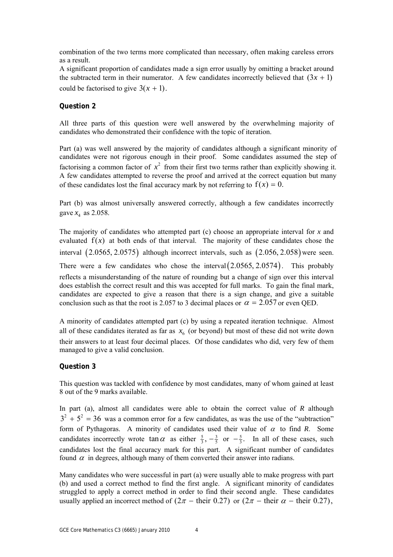combination of the two terms more complicated than necessary, often making careless errors as a result.

A significant proportion of candidates made a sign error usually by omitting a bracket around the subtracted term in their numerator. A few candidates incorrectly believed that  $(3x + 1)$ could be factorised to give  $3(x + 1)$ .

# **Question 2**

All three parts of this question were well answered by the overwhelming majority of candidates who demonstrated their confidence with the topic of iteration.

Part (a) was well answered by the majority of candidates although a significant minority of candidates were not rigorous enough in their proof. Some candidates assumed the step of factorising a common factor of  $x^2$  from their first two terms rather than explicitly showing it. A few candidates attempted to reverse the proof and arrived at the correct equation but many of these candidates lost the final accuracy mark by not referring to  $f(x) = 0$ .

Part (b) was almost universally answered correctly, although a few candidates incorrectly gave  $x_4$  as 2.058.

The majority of candidates who attempted part (c) choose an appropriate interval for *x* and evaluated  $f(x)$  at both ends of that interval. The majority of these candidates chose the interval  $(2.0565, 2.0575)$  although incorrect intervals, such as  $(2.056, 2.058)$  were seen. There were a few candidates who chose the interval  $(2.0565, 2.0574)$ . This probably reflects a misunderstanding of the nature of rounding but a change of sign over this interval does establish the correct result and this was accepted for full marks. To gain the final mark, candidates are expected to give a reason that there is a sign change, and give a suitable conclusion such as that the root is 2.057 to 3 decimal places or  $\alpha = 2.057$  or even OED.

A minority of candidates attempted part (c) by using a repeated iteration technique. Almost all of these candidates iterated as far as  $x<sub>6</sub>$  (or beyond) but most of these did not write down their answers to at least four decimal places. Of those candidates who did, very few of them managed to give a valid conclusion.

# **Question 3**

This question was tackled with confidence by most candidates, many of whom gained at least 8 out of the 9 marks available.

In part (a), almost all candidates were able to obtain the correct value of *R* although  $3^{2} + 5^{2} = 36$  was a common error for a few candidates, as was the use of the "subtraction" form of Pythagoras. A minority of candidates used their value of  $\alpha$  to find *R*. Some candidates incorrectly wrote  $\tan \alpha$  as either  $\frac{5}{3}$ ,  $-\frac{3}{5}$  or  $-\frac{5}{3}$ . In all of these cases, such candidates lost the final accuracy mark for this part. A significant number of candidates found  $\alpha$  in degrees, although many of them converted their answer into radians.

Many candidates who were successful in part (a) were usually able to make progress with part (b) and used a correct method to find the first angle. A significant minority of candidates struggled to apply a correct method in order to find their second angle. These candidates usually applied an incorrect method of  $(2\pi - \text{their } 0.27)$  or  $(2\pi - \text{their } \alpha - \text{their } 0.27)$ ,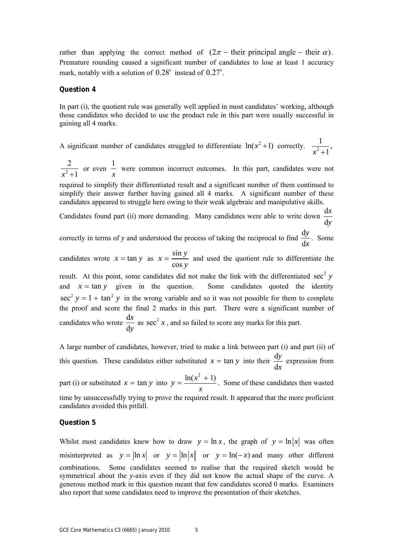rather than applying the correct method of  $(2\pi -$  their principal angle – their  $\alpha$ ). Premature rounding caused a significant number of candidates to lose at least 1 accuracy mark, notably with a solution of  $0.28^{\circ}$  instead of  $0.27^{\circ}$ .

#### **Question 4**

In part (i), the quotient rule was generally well applied in most candidates' working, although those candidates who decided to use the product rule in this part were usually successful in gaining all 4 marks.

A significant number of candidates struggled to differentiate  $ln(x^2 + 1)$  correctly.  $\frac{1}{x^2 + 1}$ ,

2 2  $x^2 + 1$ or even  $\frac{1}{1}$ *x* were common incorrect outcomes. In this part, candidates were not

required to simplify their differentiated result and a significant number of them continued to simplify their answer further having gained all 4 marks. A significant number of these candidates appeared to struggle here owing to their weak algebraic and manipulative skills.

Candidates found part (ii) more demanding. Many candidates were able to write down  $\frac{d}{d}$ d *x y*

correctly in terms of *y* and understood the process of taking the reciprocal to find  $\frac{d}{d}$ d *y x* . Some

candidates wrote  $x = \tan y$  as  $x = \frac{\sin x}{3}$ cos  $x = \frac{\sin y}{\cos y}$  and used the quotient rule to differentiate the

result. At this point, some candidates did not make the link with the differentiated  $\sec^2 y$ and  $x = \tan y$  given in the question. Some candidates quoted the identity  $\sec^2 y = 1 + \tan^2 y$  in the wrong variable and so it was not possible for them to complete the proof and score the final 2 marks in this part. There were a significant number of candidates who wrote  $\frac{d}{dt}$ d *x y* as  $\sec^2 x$ , and so failed to score any marks for this part.

A large number of candidates, however, tried to make a link between part (i) and part (ii) of this question. These candidates either substituted  $x = \tan y$  into their  $\frac{d}{dx}$ d *y x* expression from part (i) or substituted  $x = \tan y$  into  $y = \frac{\ln(x^2 + 1)}{2}$ *x*  $=$   $\frac{\ln(x^2 + 1)}{x^2 + 1}$ . Some of these candidates then wasted time by unsuccessfully trying to prove the required result. It appeared that the more proficient

#### **Question 5**

candidates avoided this pitfall.

Whilst most candidates knew how to draw  $y = \ln x$ , the graph of  $y = \ln |x|$  was often misinterpreted as  $y = |\ln x|$  or  $y = |\ln |x|$  or  $y = \ln(-x)$  and many other different combinations. Some candidates seemed to realise that the required sketch would be symmetrical about the *y*-axis even if they did not know the actual shape of the curve. A generous method mark in this question meant that few candidates scored 0 marks. Examiners also report that some candidates need to improve the presentation of their sketches.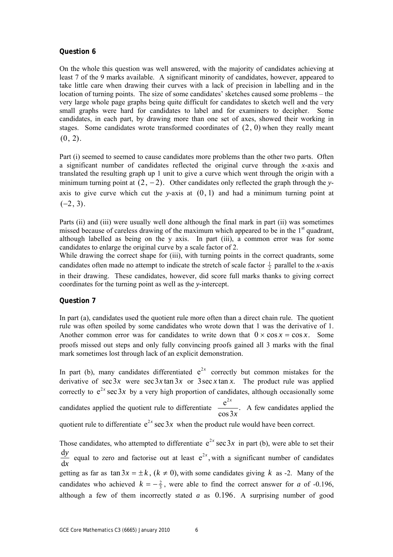# **Question 6**

On the whole this question was well answered, with the majority of candidates achieving at least 7 of the 9 marks available. A significant minority of candidates, however, appeared to take little care when drawing their curves with a lack of precision in labelling and in the location of turning points. The size of some candidates' sketches caused some problems – the very large whole page graphs being quite difficult for candidates to sketch well and the very small graphs were hard for candidates to label and for examiners to decipher. Some candidates, in each part, by drawing more than one set of axes, showed their working in stages. Some candidates wrote transformed coordinates of  $(2, 0)$  when they really meant  $(0, 2)$ .

Part (i) seemed to seemed to cause candidates more problems than the other two parts. Often a significant number of candidates reflected the original curve through the *x*-axis and translated the resulting graph up 1 unit to give a curve which went through the origin with a minimum turning point at  $(2, -2)$ . Other candidates only reflected the graph through the *y*axis to give curve which cut the *y*-axis at (0, 1) and had a minimum turning point at  $(-2, 3)$ .

Parts (ii) and (iii) were usually well done although the final mark in part (ii) was sometimes missed because of careless drawing of the maximum which appeared to be in the  $1<sup>st</sup>$  quadrant, although labelled as being on the y axis. In part (iii), a common error was for some candidates to enlarge the original curve by a scale factor of 2.

While drawing the correct shape for (iii), with turning points in the correct quadrants, some candidates often made no attempt to indicate the stretch of scale factor  $\frac{1}{2}$  parallel to the *x*-axis in their drawing. These candidates, however, did score full marks thanks to giving correct coordinates for the turning point as well as the *y*-intercept.

# **Question 7**

In part (a), candidates used the quotient rule more often than a direct chain rule. The quotient rule was often spoiled by some candidates who wrote down that 1 was the derivative of 1. Another common error was for candidates to write down that  $0 \times \cos x = \cos x$ . Some proofs missed out steps and only fully convincing proofs gained all 3 marks with the final mark sometimes lost through lack of an explicit demonstration.

In part (b), many candidates differentiated  $e^{2x}$  correctly but common mistakes for the derivative of  $\sec 3x$  were  $\sec 3x \tan 3x$  or  $3 \sec x \tan x$ . The product rule was applied correctly to  $e^{2x}$  sec 3x by a very high proportion of candidates, although occasionally some candidates applied the quotient rule to differentiate  $\frac{e^{2x}}{\cos 3x}$ . *x* A few candidates applied the quotient rule to differentiate  $e^{2x}$  sec 3x when the product rule would have been correct.

Those candidates, who attempted to differentiate  $e^{2x}$  sec 3x in part (b), were able to set their d d *y x* equal to zero and factorise out at least  $e^{2x}$ , with a significant number of candidates getting as far as  $\tan 3x = \pm k$ ,  $(k \neq 0)$ , with some candidates giving k as -2. Many of the candidates who achieved  $k = -\frac{2}{3}$ , were able to find the correct answer for *a* of -0.196, although a few of them incorrectly stated *a* as 0.196. A surprising number of good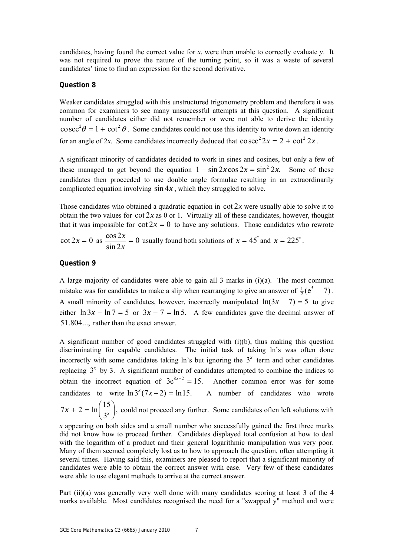candidates, having found the correct value for *x*, were then unable to correctly evaluate *y*. It was not required to prove the nature of the turning point, so it was a waste of several candidates' time to find an expression for the second derivative.

# **Question 8**

Weaker candidates struggled with this unstructured trigonometry problem and therefore it was common for examiners to see many unsuccessful attempts at this question. A significant number of candidates either did not remember or were not able to derive the identity  $\cos^2 \theta = 1 + \cot^2 \theta$ . Some candidates could not use this identity to write down an identity for an angle of 2*x*. Some candidates incorrectly deduced that  $\cos^2 2x = 2 + \cot^2 2x$ .

A significant minority of candidates decided to work in sines and cosines, but only a few of these managed to get beyond the equation  $1 - \sin 2x \cos 2x = \sin^2 2x$ . Some of these candidates then proceeded to use double angle formulae resulting in an extraordinarily complicated equation involving sin 4*x* , which they struggled to solve.

Those candidates who obtained a quadratic equation in cot 2*x* were usually able to solve it to obtain the two values for  $\cot 2x$  as 0 or 1. Virtually all of these candidates, however, thought that it was impossible for  $\cot 2x = 0$  to have any solutions. Those candidates who rewrote

 $\cot 2x = 0 \text{ as } \frac{\cos 2x}{\sin 2x} = 0$ sin 2  $\frac{x}{x} = 0$  usually found both solutions of  $x = 45^\circ$  and  $x = 225^\circ$ .

### **Question 9**

A large majority of candidates were able to gain all 3 marks in (i)(a). The most common mistake was for candidates to make a slip when rearranging to give an answer of  $\frac{1}{2} (e^5 - 7)$ . A small minority of candidates, however, incorrectly manipulated  $ln(3x - 7) = 5$  to give either  $\ln 3x - \ln 7 = 5$  or  $3x - 7 = \ln 5$ . A few candidates gave the decimal answer of 51.804..., rather than the exact answer.

A significant number of good candidates struggled with (i)(b), thus making this question discriminating for capable candidates. The initial task of taking ln's was often done incorrectly with some candidates taking  $\ln$ 's but ignoring the  $3<sup>x</sup>$  term and other candidates replacing  $3<sup>x</sup>$  by 3. A significant number of candidates attempted to combine the indices to obtain the incorrect equation of  $3e^{8x+2} = 15$ . Another common error was for some candidates to write  $\ln 3^{x}(7x+2) = \ln 15$ . A number of candidates who wrote  $7x + 2 = \ln\left(\frac{15}{3^x}\right)$ , could not proceed any further. Some candidates often left solutions with

*x* appearing on both sides and a small number who successfully gained the first three marks did not know how to proceed further. Candidates displayed total confusion at how to deal with the logarithm of a product and their general logarithmic manipulation was very poor. Many of them seemed completely lost as to how to approach the question, often attempting it several times. Having said this, examiners are pleased to report that a significant minority of candidates were able to obtain the correct answer with ease. Very few of these candidates were able to use elegant methods to arrive at the correct answer.

Part (ii)(a) was generally very well done with many candidates scoring at least 3 of the 4 marks available. Most candidates recognised the need for a "swapped y" method and were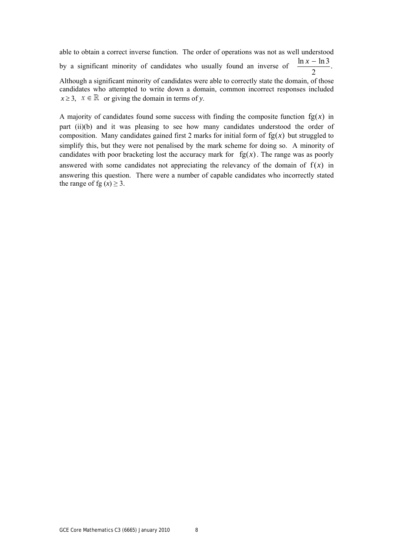able to obtain a correct inverse function. The order of operations was not as well understood by a significant minority of candidates who usually found an inverse of  $\frac{\ln x -}{2}$  $\ln x - \ln 3$ Although a significant minority of candidates were able to correctly state the domain, of those

candidates who attempted to write down a domain, common incorrect responses included  $x \geq 3$ ,  $x \in \mathbb{R}$  or giving the domain in terms of *y*.

A majority of candidates found some success with finding the composite function  $fg(x)$  in part (ii)(b) and it was pleasing to see how many candidates understood the order of composition. Many candidates gained first 2 marks for initial form of  $fg(x)$  but struggled to simplify this, but they were not penalised by the mark scheme for doing so. A minority of candidates with poor bracketing lost the accuracy mark for  $fg(x)$ . The range was as poorly answered with some candidates not appreciating the relevancy of the domain of  $f(x)$  in answering this question. There were a number of capable candidates who incorrectly stated the range of fg  $(x) \ge 3$ .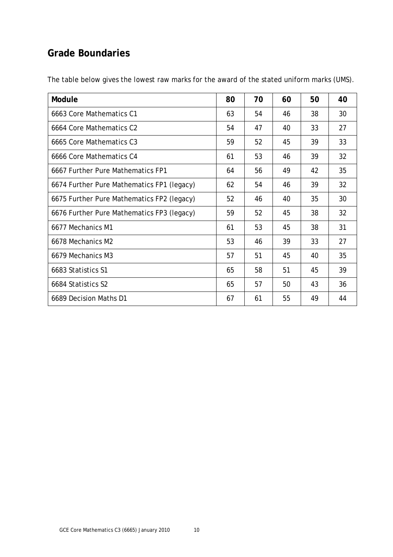# **Grade Boundaries**

| Module                                     | 80 | 70 | 60 | 50 | 40 |
|--------------------------------------------|----|----|----|----|----|
| 6663 Core Mathematics C1                   | 63 | 54 | 46 | 38 | 30 |
| 6664 Core Mathematics C2                   | 54 | 47 | 40 | 33 | 27 |
| 6665 Core Mathematics C3                   | 59 | 52 | 45 | 39 | 33 |
| 6666 Core Mathematics C4                   | 61 | 53 | 46 | 39 | 32 |
| 6667 Further Pure Mathematics FP1          | 64 | 56 | 49 | 42 | 35 |
| 6674 Further Pure Mathematics FP1 (legacy) | 62 | 54 | 46 | 39 | 32 |
| 6675 Further Pure Mathematics FP2 (legacy) | 52 | 46 | 40 | 35 | 30 |
| 6676 Further Pure Mathematics FP3 (legacy) | 59 | 52 | 45 | 38 | 32 |
| 6677 Mechanics M1                          | 61 | 53 | 45 | 38 | 31 |
| 6678 Mechanics M2                          | 53 | 46 | 39 | 33 | 27 |
| 6679 Mechanics M3                          | 57 | 51 | 45 | 40 | 35 |
| 6683 Statistics S1                         | 65 | 58 | 51 | 45 | 39 |
| 6684 Statistics S2                         | 65 | 57 | 50 | 43 | 36 |
| 6689 Decision Maths D1                     | 67 | 61 | 55 | 49 | 44 |

The table below gives the lowest raw marks for the award of the stated uniform marks (UMS).